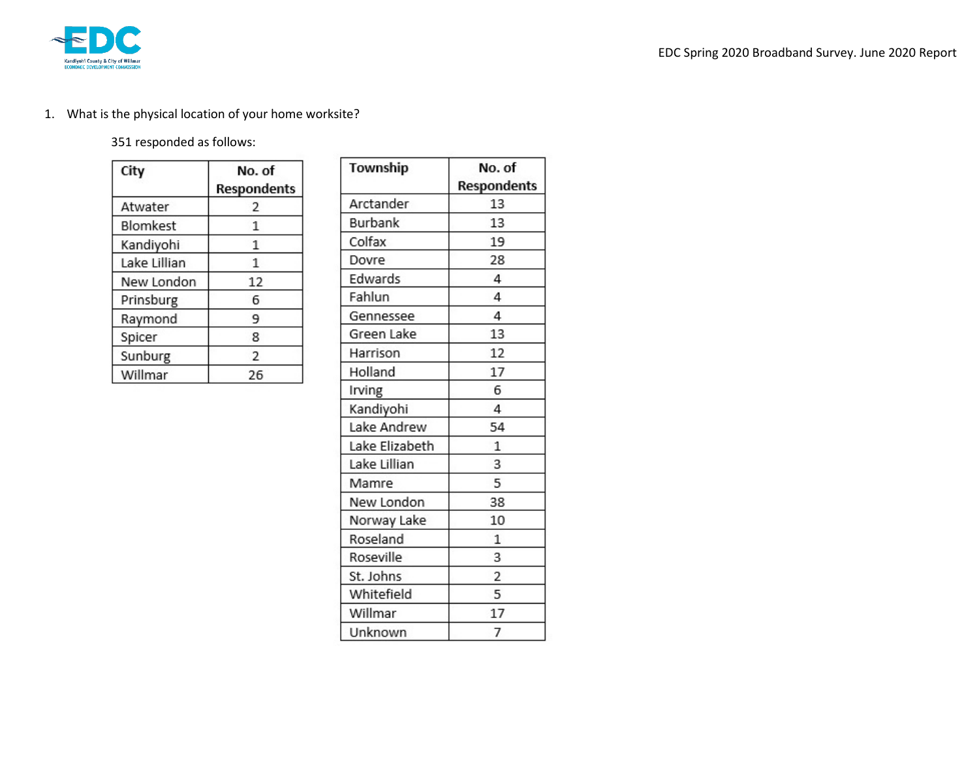

## 1. What is the physical location of your home worksite?

## 351 responded as follows:

| City         | No. of<br>Respondents |  |
|--------------|-----------------------|--|
| Atwater      | 2                     |  |
| Blomkest     | 1                     |  |
| Kandiyohi    | 1                     |  |
| Lake Lillian | 1                     |  |
| New London   | 12                    |  |
| Prinsburg    | 6                     |  |
| Raymond      | 9                     |  |
| Spicer       | 8                     |  |
| Sunburg      | 2                     |  |
| Willmar      | 26                    |  |

| Township       | No. of             |  |
|----------------|--------------------|--|
|                | <b>Respondents</b> |  |
| Arctander      | 13                 |  |
| Burbank        | 13                 |  |
| Colfax         | 19                 |  |
| Dovre          | 28                 |  |
| Edwards        | 4                  |  |
| Fahlun         | 4                  |  |
| Gennessee      | 4                  |  |
| Green Lake     | 13                 |  |
| Harrison       | 12                 |  |
| Holland        | 17                 |  |
| Irving         | 6                  |  |
| Kandiyohi      | 4                  |  |
| Lake Andrew    | 54                 |  |
| Lake Elizabeth | 1                  |  |
| Lake Lillian   | 3                  |  |
| Mamre          | 5                  |  |
| New London     | 38                 |  |
| Norway Lake    | 10                 |  |
| Roseland       | 1                  |  |
| Roseville      | 3                  |  |
| St. Johns      | $\overline{c}$     |  |
| Whitefield     | 5                  |  |
| Willmar        | 17                 |  |
| Unknown        | 7                  |  |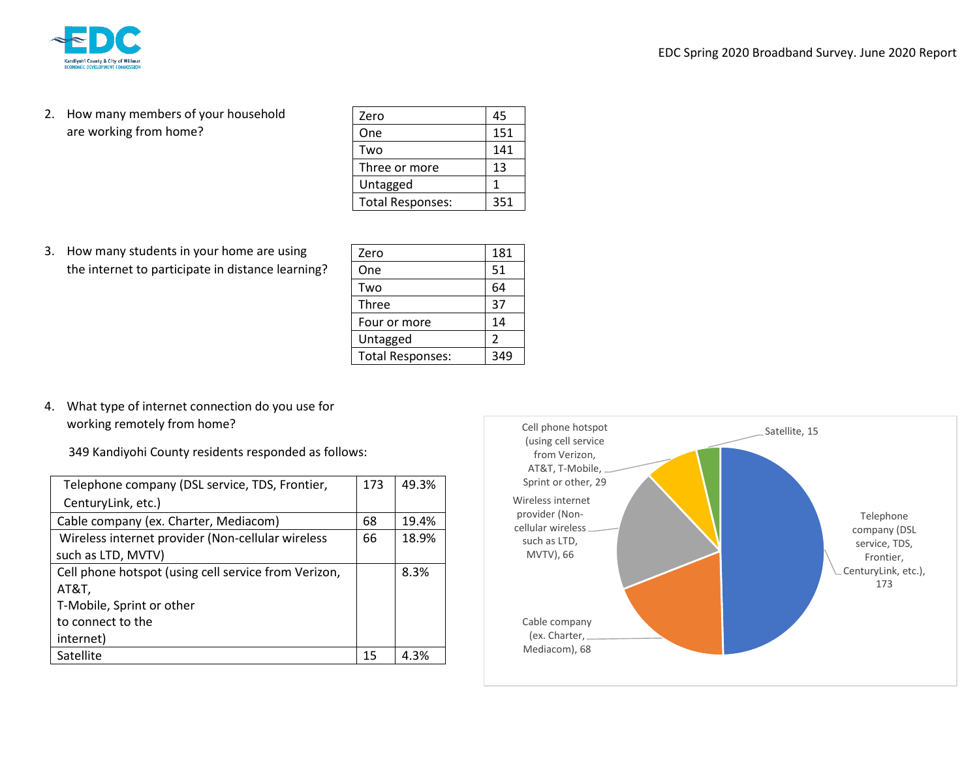

2. How many members of your household are working from home?

| Zero                    | 45  |
|-------------------------|-----|
| One                     | 151 |
| Two                     | 141 |
| Three or more           | 13  |
| Untagged                | 1   |
| <b>Total Responses:</b> | 351 |

3. How many students in your home are using the internet to participate in distance learning?

| Zero                    | 181           |
|-------------------------|---------------|
| One                     | 51            |
| Two                     | 64            |
| Three                   | 37            |
| Four or more            | 14            |
| Untagged                | $\mathcal{P}$ |
| <b>Total Responses:</b> |               |

4. What type of internet connection do you use for working remotely from home?

349 Kandiyohi County residents responded as follows:

| Telephone company (DSL service, TDS, Frontier,       | 173 | 49.3% |
|------------------------------------------------------|-----|-------|
| CenturyLink, etc.)                                   |     |       |
| Cable company (ex. Charter, Mediacom)                | 68  | 19.4% |
| Wireless internet provider (Non-cellular wireless    | 66  | 18.9% |
| such as LTD, MVTV)                                   |     |       |
| Cell phone hotspot (using cell service from Verizon, |     | 8.3%  |
| AT&T,                                                |     |       |
| T-Mobile, Sprint or other                            |     |       |
| to connect to the                                    |     |       |
| internet)                                            |     |       |
| Satellite                                            | 15  | 4.3%  |

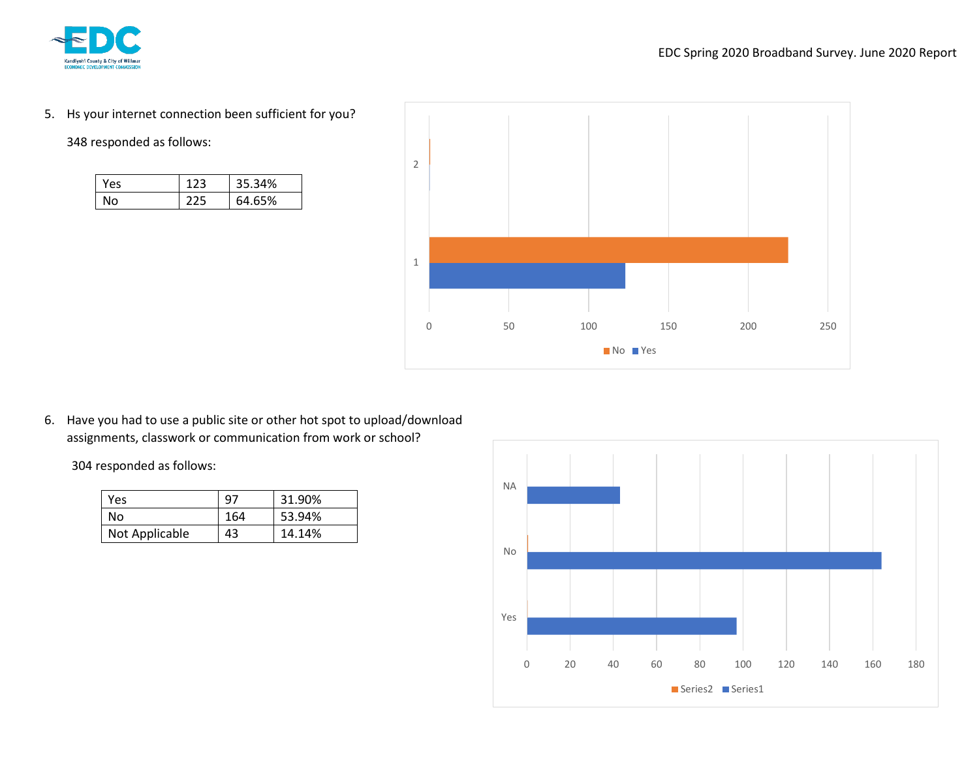

5. Hs your internet connection been sufficient for you?

348 responded as follows:

| Yes |     | 35.34% |
|-----|-----|--------|
| Nο  | ナフレ | 64.65% |



6. Have you had to use a public site or other hot spot to upload/download assignments, classwork or communication from work or school?

304 responded as follows:

| Yes            | 97  | 31.90% |
|----------------|-----|--------|
| No             | 164 | 53.94% |
| Not Applicable | 43  | 14.14% |